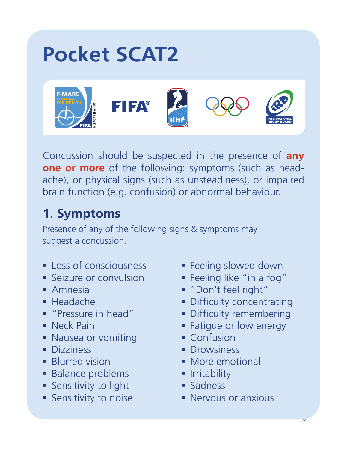# **Pocket SCAT2**



Concussion should be suspected in the presence of **any one or more** of the following: symptoms (such as headache), or physical signs (such as unsteadiness), or impaired brain function (e.g. confusion) or abnormal behaviour.

## **1. Symptoms**

Presence of any of the following signs & symptoms may suggest a concussion.

- **Loss of consciousness**
- **Seizure or convulsion**
- Amnesia
- Headache
- **Pressure in head"**
- **Neck Pain**
- **Nausea or vomiting**
- **Dizziness**
- **Blurred vision**
- **Balance problems**
- **Sensitivity to light**
- **Sensitivity to noise**
- **Feeling slowed down**
- Feeling like "in a fog"
- "Don't feel right"
- **Difficulty concentrating**
- **-** Difficulty remembering
- **Fatique or low energy**
- **Confusion**
- **Drowsiness**
- **More emotional**
- **I**rritability
- Sadness
- **Nervous or anxious**